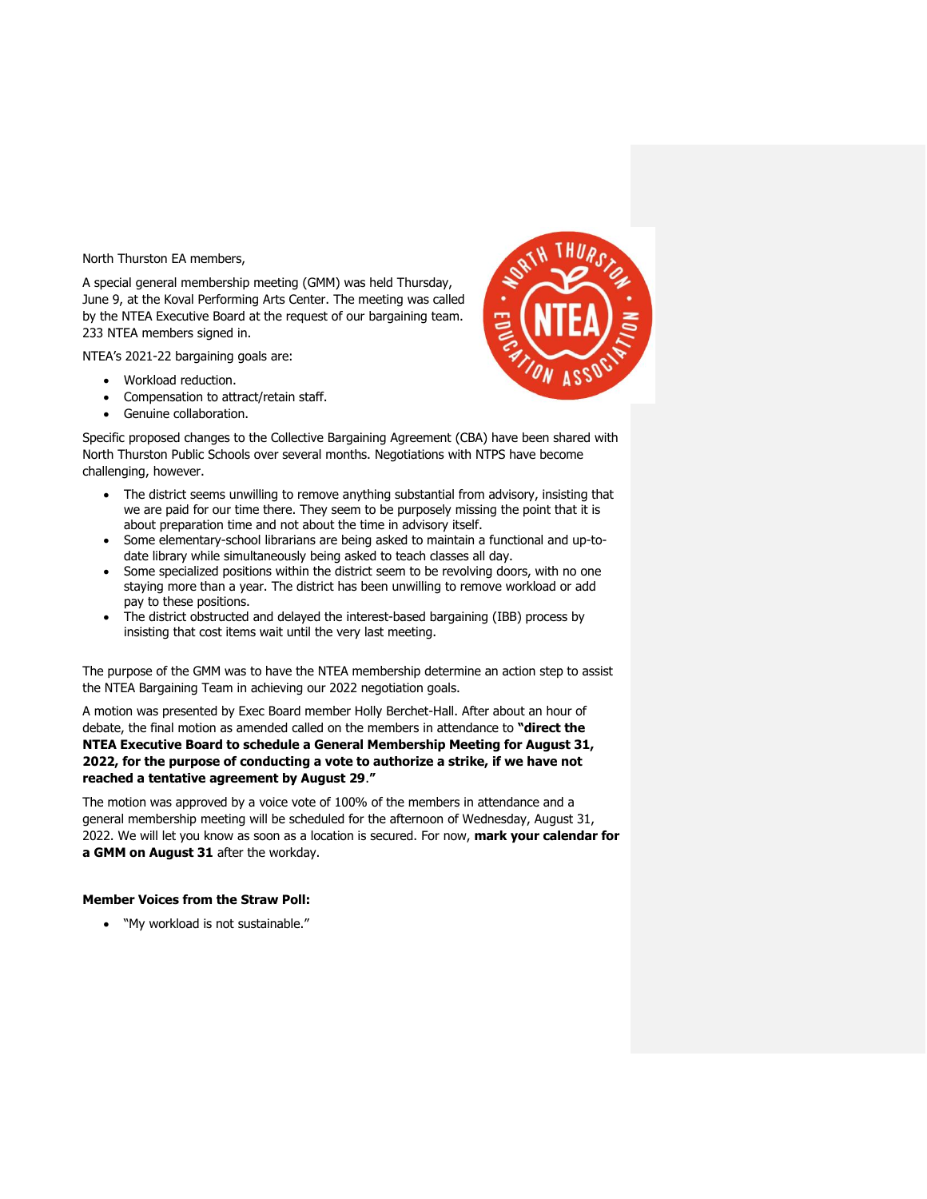North Thurston EA members,

A special general membership meeting (GMM) was held Thursday, June 9, at the Koval Performing Arts Center. The meeting was called by the NTEA Executive Board at the request of our bargaining team. 233 NTEA members signed in.

NTEA's 2021-22 bargaining goals are:

- Workload reduction.
- Compensation to attract/retain staff.
- Genuine collaboration.

Specific proposed changes to the Collective Bargaining Agreement (CBA) have been shared with North Thurston Public Schools over several months. Negotiations with NTPS have become challenging, however.

- The district seems unwilling to remove anything substantial from advisory, insisting that we are paid for our time there. They seem to be purposely missing the point that it is about preparation time and not about the time in advisory itself.
- Some elementary-school librarians are being asked to maintain a functional and up-todate library while simultaneously being asked to teach classes all day.
- Some specialized positions within the district seem to be revolving doors, with no one staying more than a year. The district has been unwilling to remove workload or add pay to these positions.
- The district obstructed and delayed the interest-based bargaining (IBB) process by insisting that cost items wait until the very last meeting.

The purpose of the GMM was to have the NTEA membership determine an action step to assist the NTEA Bargaining Team in achieving our 2022 negotiation goals.

A motion was presented by Exec Board member Holly Berchet-Hall. After about an hour of debate, the final motion as amended called on the members in attendance to **"direct the NTEA Executive Board to schedule a General Membership Meeting for August 31, 2022, for the purpose of conducting a vote to authorize a strike, if we have not reached a tentative agreement by August 29**.**"**

The motion was approved by a voice vote of 100% of the members in attendance and a general membership meeting will be scheduled for the afternoon of Wednesday, August 31, 2022. We will let you know as soon as a location is secured. For now, **mark your calendar for a GMM on August 31** after the workday.

# **Member Voices from the Straw Poll:**

• "My workload is not sustainable."

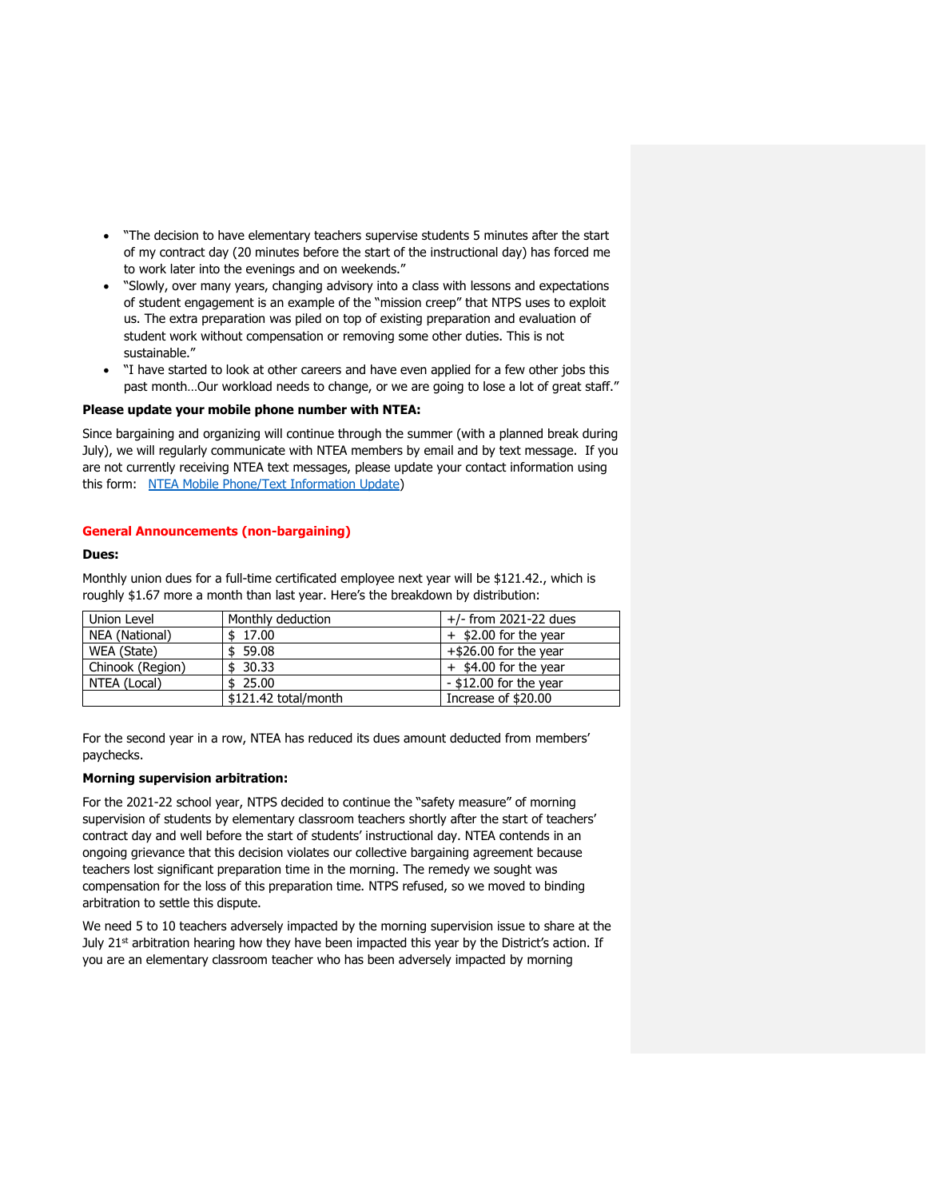- "The decision to have elementary teachers supervise students 5 minutes after the start of my contract day (20 minutes before the start of the instructional day) has forced me to work later into the evenings and on weekends."
- "Slowly, over many years, changing advisory into a class with lessons and expectations of student engagement is an example of the "mission creep" that NTPS uses to exploit us. The extra preparation was piled on top of existing preparation and evaluation of student work without compensation or removing some other duties. This is not sustainable."
- "I have started to look at other careers and have even applied for a few other jobs this past month…Our workload needs to change, or we are going to lose a lot of great staff."

## **Please update your mobile phone number with NTEA:**

Since bargaining and organizing will continue through the summer (with a planned break during July), we will regularly communicate with NTEA members by email and by text message. If you are not currently receiving NTEA text messages, please update your contact information using this form: [NTEA Mobile Phone/Text Information Update\)](https://docs.google.com/forms/d/e/1FAIpQLScMEcXqgK_YnhTp7in6nkh3KEJd05-d93asIitT1m9oqVOafQ/viewform)

## **General Announcements (non-bargaining)**

#### **Dues:**

Monthly union dues for a full-time certificated employee next year will be \$121.42., which is roughly \$1.67 more a month than last year. Here's the breakdown by distribution:

| Union Level      | Monthly deduction    | $+/-$ from 2021-22 dues  |
|------------------|----------------------|--------------------------|
| NEA (National)   | \$17.00              | $+$ \$2.00 for the year  |
| WEA (State)      | \$59.08              | $+$ \$26.00 for the year |
| Chinook (Region) | \$30.33              | $+$ \$4.00 for the year  |
| NTEA (Local)     | \$25.00              | - \$12.00 for the year   |
|                  | \$121.42 total/month | Increase of \$20.00      |

For the second year in a row, NTEA has reduced its dues amount deducted from members' paychecks.

## **Morning supervision arbitration:**

For the 2021-22 school year, NTPS decided to continue the "safety measure" of morning supervision of students by elementary classroom teachers shortly after the start of teachers' contract day and well before the start of students' instructional day. NTEA contends in an ongoing grievance that this decision violates our collective bargaining agreement because teachers lost significant preparation time in the morning. The remedy we sought was compensation for the loss of this preparation time. NTPS refused, so we moved to binding arbitration to settle this dispute.

We need 5 to 10 teachers adversely impacted by the morning supervision issue to share at the July  $21<sup>st</sup>$  arbitration hearing how they have been impacted this year by the District's action. If you are an elementary classroom teacher who has been adversely impacted by morning